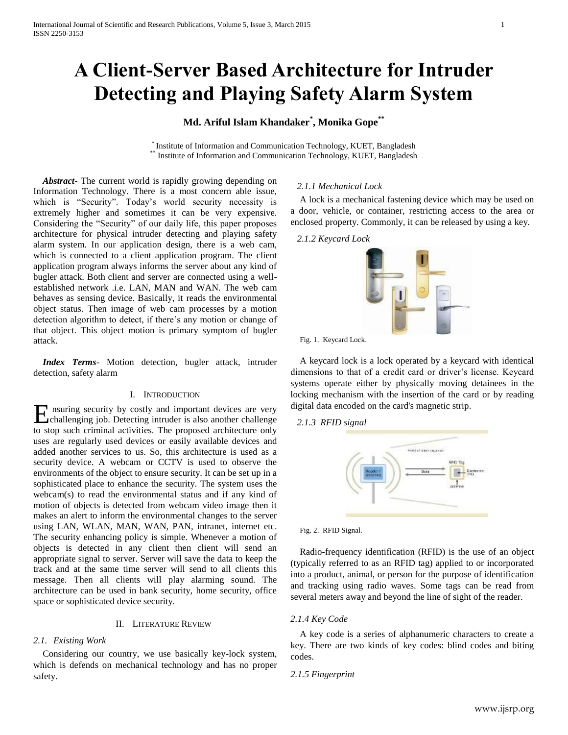# **A Client-Server Based Architecture for Intruder Detecting and Playing Safety Alarm System**

# **Md. Ariful Islam Khandaker\* , Monika Gope\*\***

\* Institute of Information and Communication Technology, KUET, Bangladesh Institute of Information and Communication Technology, KUET, Bangladesh

 *Abstract***-** The current world is rapidly growing depending on Information Technology. There is a most concern able issue, which is "Security". Today's world security necessity is extremely higher and sometimes it can be very expensive. Considering the "Security" of our daily life, this paper proposes architecture for physical intruder detecting and playing safety alarm system. In our application design, there is a web cam, which is connected to a client application program. The client application program always informs the server about any kind of bugler attack. Both client and server are connected using a wellestablished network .i.e. LAN, MAN and WAN. The web cam behaves as sensing device. Basically, it reads the environmental object status. Then image of web cam processes by a motion detection algorithm to detect, if there's any motion or change of that object. This object motion is primary symptom of bugler attack.

 *Index Terms*- Motion detection, bugler attack, intruder detection, safety alarm

#### I. INTRODUCTION

Ensuring security by costly and important devices are very challenging job. Detecting intruder is also another challenge challenging job. Detecting intruder is also another challenge to stop such criminal activities. The proposed architecture only uses are regularly used devices or easily available devices and added another services to us. So, this architecture is used as a security device. A webcam or CCTV is used to observe the environments of the object to ensure security. It can be set up in a sophisticated place to enhance the security. The system uses the webcam(s) to read the environmental status and if any kind of motion of objects is detected from webcam video image then it makes an alert to inform the environmental changes to the server using LAN, WLAN, MAN, WAN, PAN, intranet, internet etc. The security enhancing policy is simple. Whenever a motion of objects is detected in any client then client will send an appropriate signal to server. Server will save the data to keep the track and at the same time server will send to all clients this message. Then all clients will play alarming sound. The architecture can be used in bank security, home security, office space or sophisticated device security.

#### II. LITERATURE REVIEW

#### *2.1. Existing Work*

Considering our country, we use basically key-lock system, which is defends on mechanical technology and has no proper safety.

#### *2.1.1 Mechanical Lock*

A lock is a mechanical fastening device which may be used on a door, vehicle, or container, restricting access to the area or enclosed property. Commonly, it can be released by using a key*.*

#### *2.1.2 Keycard Lock*



Fig. 1. Keycard Lock.

A keycard lock is a lock operated by a keycard with identical dimensions to that of a credit card or driver's license. Keycard systems operate either by physically moving detainees in the locking mechanism with the insertion of the card or by reading digital data encoded on the card's magnetic strip.

*2.1.3 RFID signal*



Fig. 2. RFID Signal.

Radio-frequency identification (RFID) is the use of an object (typically referred to as an RFID tag) applied to or incorporated into a product, animal, or person for the purpose of identification and tracking using radio waves. Some tags can be read from several meters away and beyond the line of sight of the reader.

#### *2.1.4 Key Code*

A key code is a series of alphanumeric characters to create a key. There are two kinds of key codes: blind codes and biting codes.

*2.1.5 Fingerprint*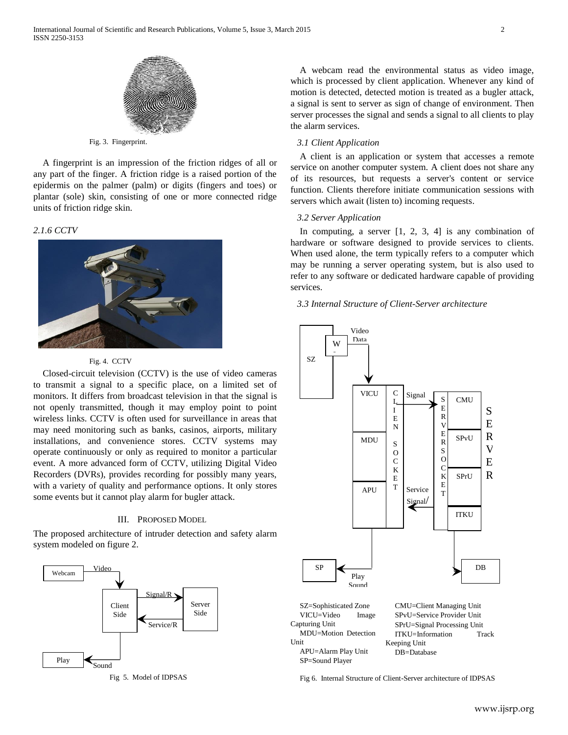

Fig. 3. Fingerprint.

A fingerprint is an impression of the friction ridges of all or any part of the finger. A friction ridge is a raised portion of the epidermis on the palmer (palm) or digits (fingers and toes) or plantar (sole) skin, consisting of one or more connected ridge units of friction ridge skin.

#### *2.1.6 CCTV*



#### Fig. 4. CCTV

Closed-circuit television (CCTV) is the use of video cameras to transmit a signal to a specific place, on a limited set of monitors. It differs from broadcast television in that the signal is not openly transmitted, though it may employ point to point wireless links. CCTV is often used for surveillance in areas that may need monitoring such as banks, casinos, airports, military installations, and convenience stores. CCTV systems may operate continuously or only as required to monitor a particular event. A more advanced form of CCTV, utilizing Digital Video Recorders (DVRs), provides recording for possibly many years, with a variety of quality and performance options. It only stores some events but it cannot play alarm for bugler attack.

### III. PROPOSED MODEL

The proposed architecture of intruder detection and safety alarm system modeled on figure 2.



Fig 5. Model of IDPSAS

A webcam read the environmental status as video image, which is processed by client application. Whenever any kind of motion is detected, detected motion is treated as a bugler attack, a signal is sent to server as sign of change of environment. Then server processes the signal and sends a signal to all clients to play the alarm services.

#### *3.1 Client Application*

A client is an application or system that accesses a remote service on another computer system. A client does not share any of its resources, but requests a server's content or service function. Clients therefore initiate communication sessions with servers which await (listen to) incoming requests.

#### *3.2 Server Application*

In computing, a server [1, 2, 3, 4] is any combination of hardware or software designed to provide services to clients. When used alone, the term typically refers to a computer which may be running a server operating system, but is also used to refer to any software or dedicated hardware capable of providing services.

*3.3 Internal Structure of Client-Server architecture*



Fig 6. Internal Structure of Client-Server architecture of IDPSAS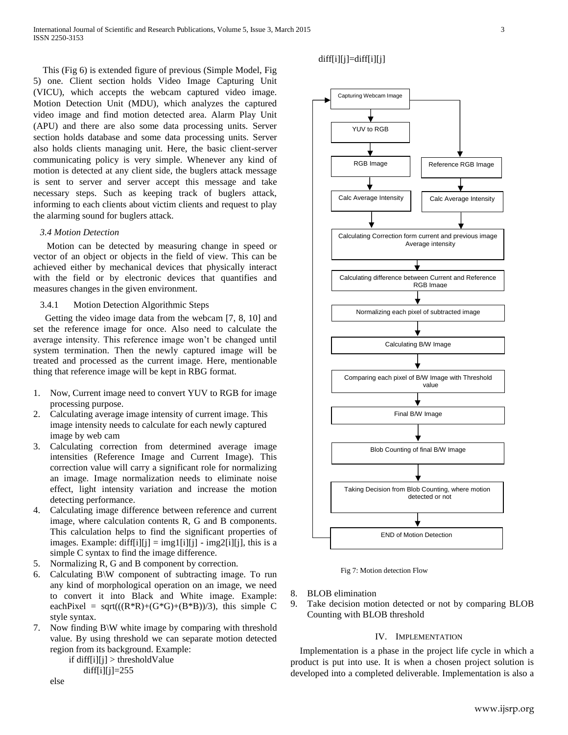This (Fig 6) is extended figure of previous (Simple Model, Fig 5) one. Client section holds Video Image Capturing Unit (VICU), which accepts the webcam captured video image. Motion Detection Unit (MDU), which analyzes the captured video image and find motion detected area. Alarm Play Unit (APU) and there are also some data processing units. Server section holds database and some data processing units. Server also holds clients managing unit. Here, the basic client-server communicating policy is very simple. Whenever any kind of motion is detected at any client side, the buglers attack message is sent to server and server accept this message and take necessary steps. Such as keeping track of buglers attack, informing to each clients about victim clients and request to play the alarming sound for buglers attack.

#### *3.4 Motion Detection*

 Motion can be detected by measuring change in speed or vector of an object or objects in the field of view. This can be achieved either by mechanical devices that physically interact with the field or by electronic devices that quantifies and measures changes in the given environment.

3.4.1 Motion Detection Algorithmic Steps

 Getting the video image data from the webcam [7, 8, 10] and set the reference image for once. Also need to calculate the average intensity. This reference image won't be changed until system termination. Then the newly captured image will be treated and processed as the current image. Here, mentionable thing that reference image will be kept in RBG format.

- 1. Now, Current image need to convert YUV to RGB for image processing purpose.
- 2. Calculating average image intensity of current image. This image intensity needs to calculate for each newly captured image by web cam
- 3. Calculating correction from determined average image intensities (Reference Image and Current Image). This correction value will carry a significant role for normalizing an image. Image normalization needs to eliminate noise effect, light intensity variation and increase the motion detecting performance.
- 4. Calculating image difference between reference and current image, where calculation contents R, G and B components. This calculation helps to find the significant properties of images. Example:  $diff[i][j] = img1[i][j] - img2[i][j]$ , this is a simple C syntax to find the image difference.
- 5. Normalizing R, G and B component by correction.
- 6. Calculating B\W component of subtracting image. To run any kind of morphological operation on an image, we need to convert it into Black and White image. Example: eachPixel = sqrt( $((R^*R)+(G^*G)+(B^*B))/3$ ), this simple C style syntax.
- 7. Now finding B\W white image by comparing with threshold value. By using threshold we can separate motion detected region from its background. Example:

if  $diff[i][j] > thresholdValue$ diff $[i][j]=255$ 

else

## $diff[i][j]=diff[i][j]$



Fig 7: Motion detection Flow

- 8. BLOB elimination
- 9. Take decision motion detected or not by comparing BLOB Counting with BLOB threshold

#### IV. IMPLEMENTATION

Implementation is a phase in the project life cycle in which a product is put into use. It is when a chosen project solution is developed into a completed deliverable. Implementation is also a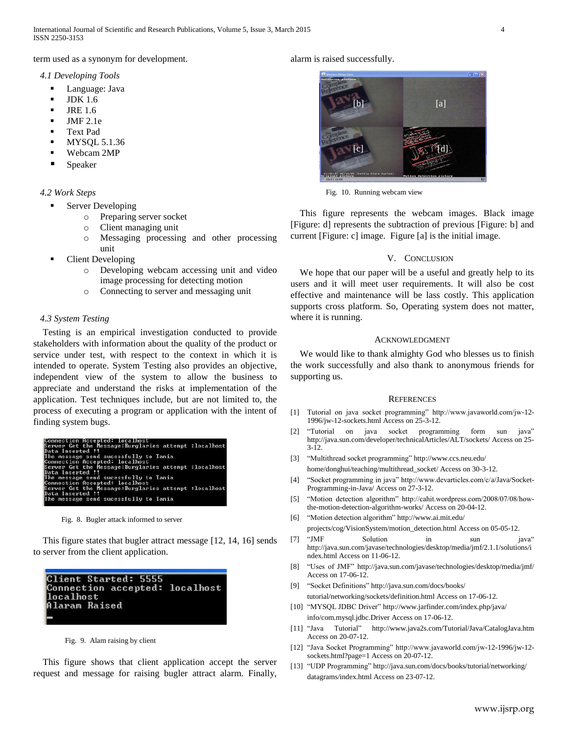# term used as a synonym for development.

## *4.1 Developing Tools*

- Language: Java
- JDK 1.6
- JRE 1.6
- JMF 2.1e
- Text Pad
- MYSQL 5.1.36
- Webcam 2MP
- Speaker

# *4.2 Work Steps*

- Server Developing
	- o Preparing server socket
	- o Client managing unit
	- o Messaging processing and other processing unit
- Client Developing
	- o Developing webcam accessing unit and video image processing for detecting motion
	- o Connecting to server and messaging unit

# *4.3 System Testing*

Testing is an empirical investigation conducted to provide stakeholders with information about the quality of the product or service under test, with respect to the context in which it is intended to operate. System Testing also provides an objective, independent view of the system to allow the business to appreciate and understand the risks at implementation of the application. Test techniques include, but are not limited to, the process of executing a program or application with the intent of finding system bugs.

| Connection Accepted: Localhost                       |  |
|------------------------------------------------------|--|
| Server Get the Message:Burglaries attempt :localhost |  |
| Data Inserted !!                                     |  |
| The message send sucessfully to Tania                |  |
| Connection Accepted: localhost                       |  |
| Server Get the Message:Burglaries attempt :localhost |  |
| Data Inserted !!                                     |  |
| The message send sucessfully to Tania                |  |
| Connection Accepted: localhost                       |  |
| Server Get the Message:Burglaries attempt :localhost |  |
| Data Inserted !!                                     |  |
| The message send sucessfully to Tania                |  |
|                                                      |  |

Fig. 8. Bugler attack informed to server

This figure states that bugler attract message [12, 14, 16] sends to server from the client application.

| Client Started: 5555           |  |
|--------------------------------|--|
| Connection accepted: localhost |  |
| localhost                      |  |
| Alaram Raised                  |  |
|                                |  |
|                                |  |

Fig. 9. Alam raising by client

This figure shows that client application accept the server request and message for raising bugler attract alarm. Finally,

## alarm is raised successfully.



Fig. 10. Running webcam view

This figure represents the webcam images. Black image [Figure: d] represents the subtraction of previous [Figure: b] and current [Figure: c] image. Figure [a] is the initial image.

## V. CONCLUSION

We hope that our paper will be a useful and greatly help to its users and it will meet user requirements. It will also be cost effective and maintenance will be lass costly. This application supports cross platform. So, Operating system does not matter, where it is running.

#### ACKNOWLEDGMENT

We would like to thank almighty God who blesses us to finish the work successfully and also thank to anonymous friends for supporting us.

#### **REFERENCES**

- [1] Tutorial on java socket programming" http://www.javaworld.com/jw-12- 1996/jw-12-sockets.html Access on 25-3-12.
- [2] "Tutorial on java socket programming form sun java" http://java.sun.com/developer/technicalArticles/ALT/sockets/ Access on 25- 3-12.
- [3] "Multithread socket programming" http://www.ccs.neu.edu/ home/donghui/teaching/multithread\_socket/ Access on 30-3-12.
- [4] "Socket programming in java" http://www.devarticles.com/c/a/Java/Socket-Programming-in-Java/ Access on 27-3-12.
- [5] "Motion detection algorithm" http://cahit.wordpress.com/2008/07/08/howthe-motion-detection-algorithm-works/ Access on 20-04-12.
- [6] "Motion detection algorithm" http://www.ai.mit.edu/ projects/cog/VisionSystem/motion\_detection.html Access on 05-05-12.
- [7] "JMF Solution in sun java" http://java.sun.com/javase/technologies/desktop/media/jmf/2.1.1/solutions/i ndex.html Access on 11-06-12.
- [8] "Uses of JMF" http://java.sun.com/javase/technologies/desktop/media/jmf/ Access on 17-06-12.
- [9] "Socket Definitions" http://java.sun.com/docs/books/ tutorial/networking/sockets/definition.html Access on 17-06-12.
- [10] "MYSQL JDBC Driver" http://www.jarfinder.com/index.php/java/ info/com.mysql.jdbc.Driver Access on 17-06-12.
- [11] "Java Tutorial" http://www.java2s.com/Tutorial/Java/CatalogJava.htm Access on 20-07-12.
- [12] "Java Socket Programming" http://www.javaworld.com/jw-12-1996/jw-12 sockets.html?page=1 Access on 20-07-12.
- [13] "UDP Programming" http://java.sun.com/docs/books/tutorial/networking/ datagrams/index.html Access on 23-07-12.